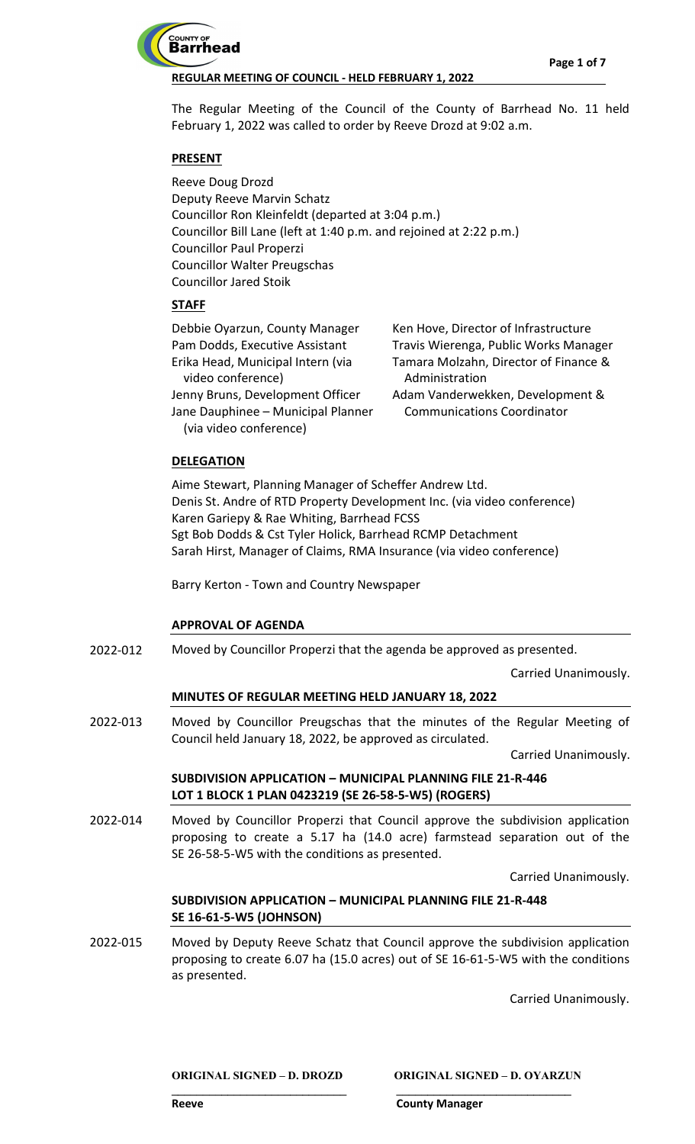

The Regular Meeting of the Council of the County of Barrhead No. 11 held February 1, 2022 was called to order by Reeve Drozd at 9:02 a.m.

# **PRESENT**

Reeve Doug Drozd Deputy Reeve Marvin Schatz Councillor Ron Kleinfeldt (departed at 3:04 p.m.) Councillor Bill Lane (left at 1:40 p.m. and rejoined at 2:22 p.m.) Councillor Paul Properzi Councillor Walter Preugschas Councillor Jared Stoik

# **STAFF**

| Debbie Oyarzun, County Manager     | Ken Hove, Director of Infrastructure  |
|------------------------------------|---------------------------------------|
| Pam Dodds, Executive Assistant     | Travis Wierenga, Public Works Manager |
| Erika Head, Municipal Intern (via  | Tamara Molzahn, Director of Finance & |
| video conference)                  | Administration                        |
| Jenny Bruns, Development Officer   | Adam Vanderwekken, Development &      |
| Jane Dauphinee - Municipal Planner | <b>Communications Coordinator</b>     |
| (via video conference)             |                                       |
|                                    |                                       |

# **DELEGATION**

Aime Stewart, Planning Manager of Scheffer Andrew Ltd. Denis St. Andre of RTD Property Development Inc. (via video conference) Karen Gariepy & Rae Whiting, Barrhead FCSS Sgt Bob Dodds & Cst Tyler Holick, Barrhead RCMP Detachment Sarah Hirst, Manager of Claims, RMA Insurance (via video conference)

Barry Kerton - Town and Country Newspaper

# **APPROVAL OF AGENDA**

Moved by Councillor Properzi that the agenda be approved as presented. 2022-012

Carried Unanimously.

# **MINUTES OF REGULAR MEETING HELD JANUARY 18, 2022**

Moved by Councillor Preugschas that the minutes of the Regular Meeting of Council held January 18, 2022, be approved as circulated. 2022-013

Carried Unanimously.

# **SUBDIVISION APPLICATION – MUNICIPAL PLANNING FILE 21-R-446 LOT 1 BLOCK 1 PLAN 0423219 (SE 26-58-5-W5) (ROGERS)**

Moved by Councillor Properzi that Council approve the subdivision application proposing to create a 5.17 ha (14.0 acre) farmstead separation out of the SE 26-58-5-W5 with the conditions as presented. 2022-014

Carried Unanimously.

# **SUBDIVISION APPLICATION – MUNICIPAL PLANNING FILE 21-R-448 SE 16-61-5-W5 (JOHNSON)**

Moved by Deputy Reeve Schatz that Council approve the subdivision application proposing to create 6.07 ha (15.0 acres) out of SE 16-61-5-W5 with the conditions as presented. 2022-015

**\_\_\_\_\_\_\_\_\_\_\_\_\_\_\_\_\_\_\_\_\_\_\_\_\_\_\_\_ \_\_\_\_\_\_\_\_\_\_\_\_\_\_\_\_\_\_\_\_\_\_\_\_\_\_\_\_**

Carried Unanimously.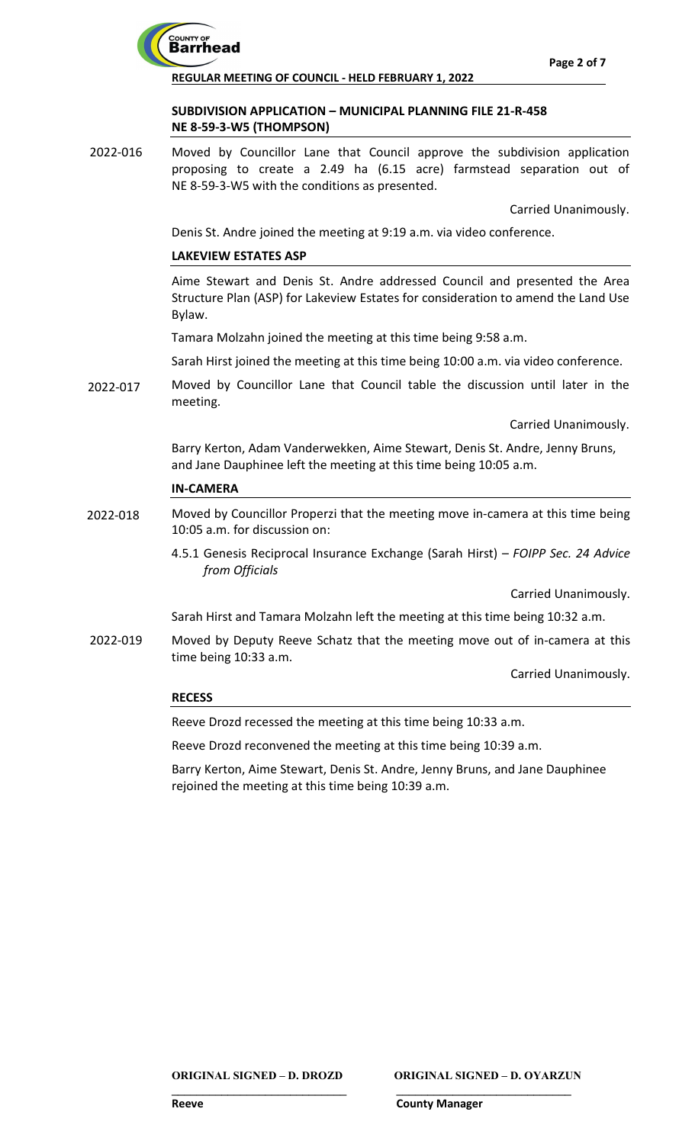

# **SUBDIVISION APPLICATION – MUNICIPAL PLANNING FILE 21-R-458 NE 8-59-3-W5 (THOMPSON)**

Moved by Councillor Lane that Council approve the subdivision application proposing to create a 2.49 ha (6.15 acre) farmstead separation out of NE 8-59-3-W5 with the conditions as presented. 2022-016

Carried Unanimously.

Denis St. Andre joined the meeting at 9:19 a.m. via video conference.

# **LAKEVIEW ESTATES ASP**

Aime Stewart and Denis St. Andre addressed Council and presented the Area Structure Plan (ASP) for Lakeview Estates for consideration to amend the Land Use Bylaw.

Tamara Molzahn joined the meeting at this time being 9:58 a.m.

Sarah Hirst joined the meeting at this time being 10:00 a.m. via video conference.

Moved by Councillor Lane that Council table the discussion until later in the meeting. 2022-017

Carried Unanimously.

Barry Kerton, Adam Vanderwekken, Aime Stewart, Denis St. Andre, Jenny Bruns, and Jane Dauphinee left the meeting at this time being 10:05 a.m.

## **IN-CAMERA**

- Moved by Councillor Properzi that the meeting move in-camera at this time being 10:05 a.m. for discussion on: 2022-018
	- 4.5.1 Genesis Reciprocal Insurance Exchange (Sarah Hirst) *FOIPP Sec. 24 Advice from Officials*

Carried Unanimously.

- Sarah Hirst and Tamara Molzahn left the meeting at this time being 10:32 a.m.
- Moved by Deputy Reeve Schatz that the meeting move out of in-camera at this time being 10:33 a.m. 2022-019

Carried Unanimously.

## **RECESS**

Reeve Drozd recessed the meeting at this time being 10:33 a.m.

Reeve Drozd reconvened the meeting at this time being 10:39 a.m.

Barry Kerton, Aime Stewart, Denis St. Andre, Jenny Bruns, and Jane Dauphinee rejoined the meeting at this time being 10:39 a.m.

**ORIGINAL SIGNED – D. DROZD ORIGINAL SIGNED – D. OYARZUN**

**\_\_\_\_\_\_\_\_\_\_\_\_\_\_\_\_\_\_\_\_\_\_\_\_\_\_\_\_ \_\_\_\_\_\_\_\_\_\_\_\_\_\_\_\_\_\_\_\_\_\_\_\_\_\_\_\_**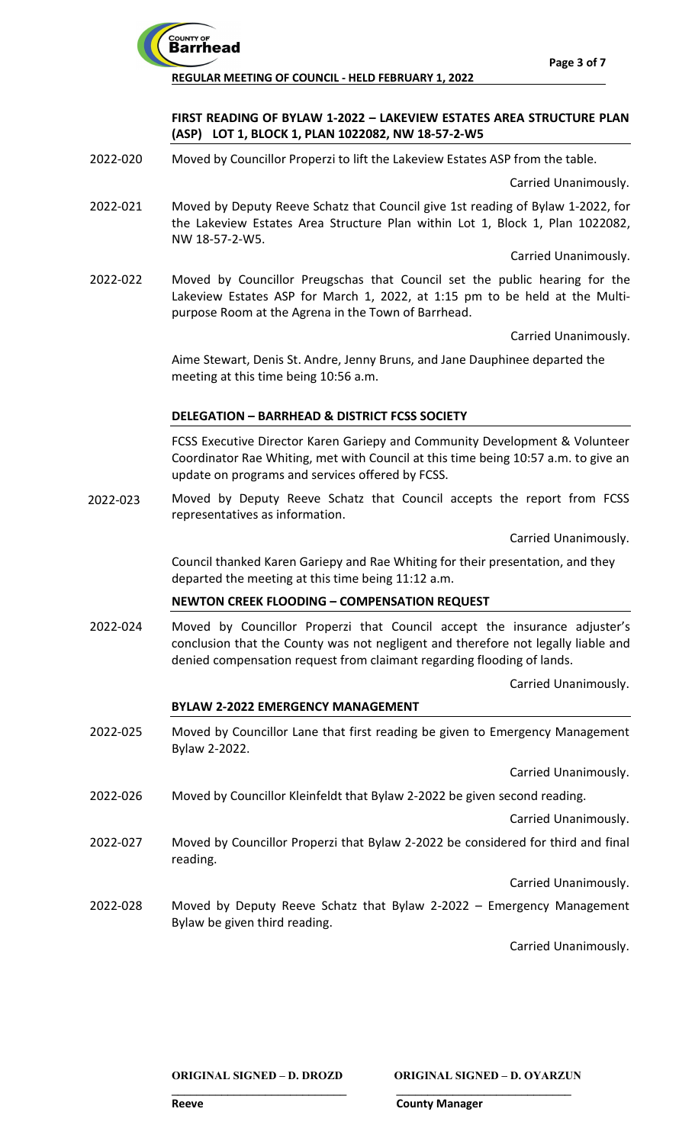

# **FIRST READING OF BYLAW 1-2022 – LAKEVIEW ESTATES AREA STRUCTURE PLAN (ASP) LOT 1, BLOCK 1, PLAN 1022082, NW 18-57-2-W5**

Moved by Councillor Properzi to lift the Lakeview Estates ASP from the table. 2022-020

Carried Unanimously.

Moved by Deputy Reeve Schatz that Council give 1st reading of Bylaw 1-2022, for the Lakeview Estates Area Structure Plan within Lot 1, Block 1, Plan 1022082, NW 18-57-2-W5. 2022-021

Carried Unanimously.

Moved by Councillor Preugschas that Council set the public hearing for the Lakeview Estates ASP for March 1, 2022, at 1:15 pm to be held at the Multipurpose Room at the Agrena in the Town of Barrhead. 2022-022

Carried Unanimously.

Aime Stewart, Denis St. Andre, Jenny Bruns, and Jane Dauphinee departed the meeting at this time being 10:56 a.m.

## **DELEGATION – BARRHEAD & DISTRICT FCSS SOCIETY**

FCSS Executive Director Karen Gariepy and Community Development & Volunteer Coordinator Rae Whiting, met with Council at this time being 10:57 a.m. to give an update on programs and services offered by FCSS.

Moved by Deputy Reeve Schatz that Council accepts the report from FCSS representatives as information. 2022-023

Carried Unanimously.

Council thanked Karen Gariepy and Rae Whiting for their presentation, and they departed the meeting at this time being 11:12 a.m.

# **NEWTON CREEK FLOODING – COMPENSATION REQUEST**

Moved by Councillor Properzi that Council accept the insurance adjuster's conclusion that the County was not negligent and therefore not legally liable and denied compensation request from claimant regarding flooding of lands. 2022-024

Carried Unanimously.

## **BYLAW 2-2022 EMERGENCY MANAGEMENT**

Moved by Councillor Lane that first reading be given to Emergency Management Bylaw 2-2022. 2022-025

Carried Unanimously.

Moved by Councillor Kleinfeldt that Bylaw 2-2022 be given second reading. 2022-026

Carried Unanimously.

Moved by Councillor Properzi that Bylaw 2-2022 be considered for third and final reading. 2022-027

Carried Unanimously.

Moved by Deputy Reeve Schatz that Bylaw 2-2022 – Emergency Management Bylaw be given third reading. 2022-028

**\_\_\_\_\_\_\_\_\_\_\_\_\_\_\_\_\_\_\_\_\_\_\_\_\_\_\_\_ \_\_\_\_\_\_\_\_\_\_\_\_\_\_\_\_\_\_\_\_\_\_\_\_\_\_\_\_**

Carried Unanimously.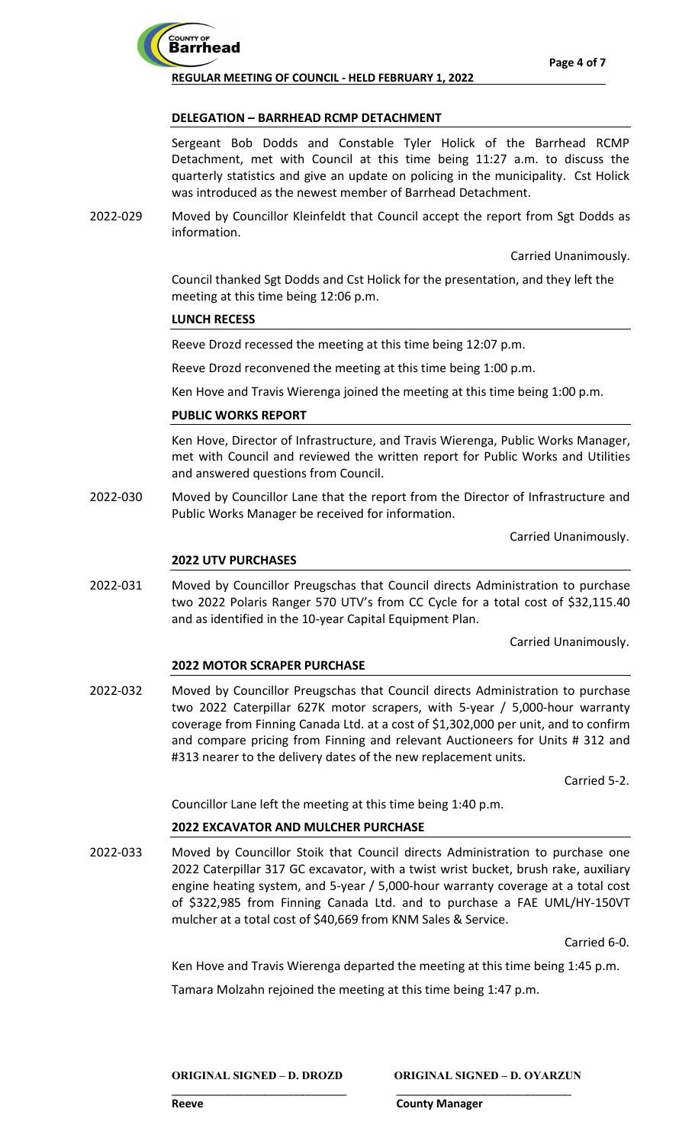

## **DELEGATION – BARRHEAD RCMP DETACHMENT**

Sergeant Bob Dodds and Constable Tyler Holick of the Barrhead RCMP Detachment, met with Council at this time being 11:27 a.m. to discuss the quarterly statistics and give an update on policing in the municipality. Cst Holick was introduced as the newest member of Barrhead Detachment.

Moved by Councillor Kleinfeldt that Council accept the report from Sgt Dodds as information. 2022-029

Carried Unanimously.

Council thanked Sgt Dodds and Cst Holick for the presentation, and they left the meeting at this time being 12:06 p.m.

## **LUNCH RECESS**

Reeve Drozd recessed the meeting at this time being 12:07 p.m.

Reeve Drozd reconvened the meeting at this time being 1:00 p.m.

Ken Hove and Travis Wierenga joined the meeting at this time being 1:00 p.m.

## **PUBLIC WORKS REPORT**

Ken Hove, Director of Infrastructure, and Travis Wierenga, Public Works Manager, met with Council and reviewed the written report for Public Works and Utilities and answered questions from Council.

Moved by Councillor Lane that the report from the Director of Infrastructure and Public Works Manager be received for information. 2022-030

Carried Unanimously.

## **2022 UTV PURCHASES**

Moved by Councillor Preugschas that Council directs Administration to purchase two 2022 Polaris Ranger 570 UTV's from CC Cycle for a total cost of \$32,115.40 and as identified in the 10-year Capital Equipment Plan. 2022-031

Carried Unanimously.

## **2022 MOTOR SCRAPER PURCHASE**

Moved by Councillor Preugschas that Council directs Administration to purchase two 2022 Caterpillar 627K motor scrapers, with 5-year / 5,000-hour warranty coverage from Finning Canada Ltd. at a cost of \$1,302,000 per unit, and to confirm and compare pricing from Finning and relevant Auctioneers for Units # 312 and #313 nearer to the delivery dates of the new replacement units. 2022-032

Carried 5-2.

Councillor Lane left the meeting at this time being 1:40 p.m.

## **2022 EXCAVATOR AND MULCHER PURCHASE**

Moved by Councillor Stoik that Council directs Administration to purchase one 2022 Caterpillar 317 GC excavator, with a twist wrist bucket, brush rake, auxiliary engine heating system, and 5-year / 5,000-hour warranty coverage at a total cost of \$322,985 from Finning Canada Ltd. and to purchase a FAE UML/HY-150VT mulcher at a total cost of \$40,669 from KNM Sales & Service. 2022-033

Carried 6-0.

Ken Hove and Travis Wierenga departed the meeting at this time being 1:45 p.m.

Tamara Molzahn rejoined the meeting at this time being 1:47 p.m.

**\_\_\_\_\_\_\_\_\_\_\_\_\_\_\_\_\_\_\_\_\_\_\_\_\_\_\_\_ \_\_\_\_\_\_\_\_\_\_\_\_\_\_\_\_\_\_\_\_\_\_\_\_\_\_\_\_**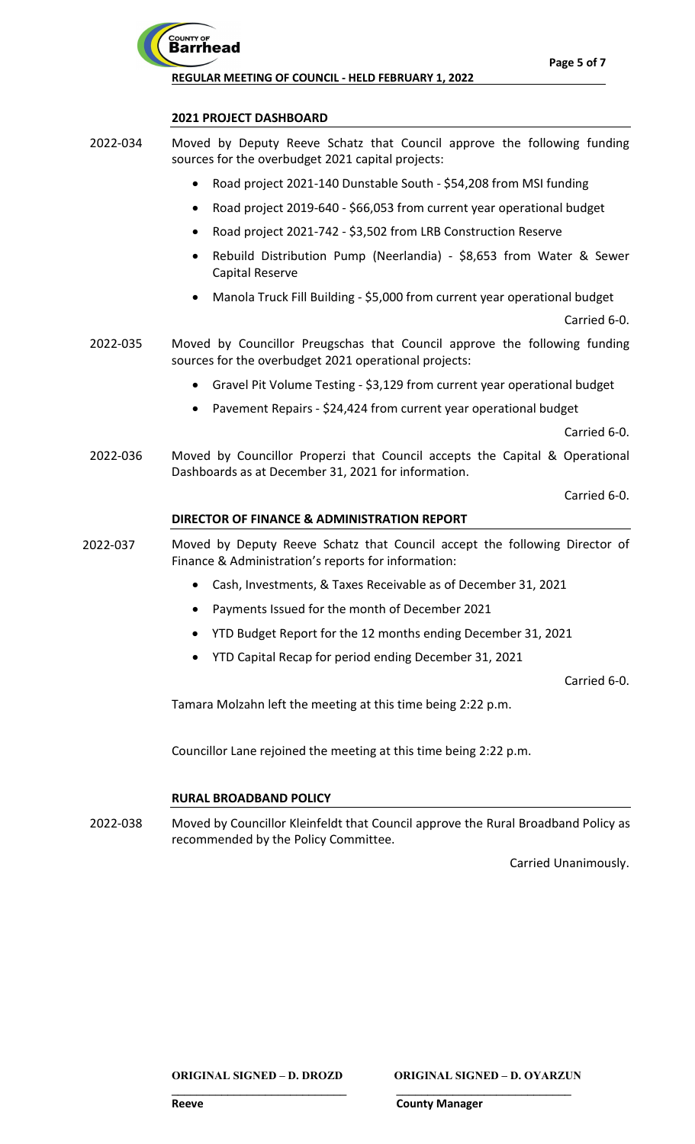

## **2021 PROJECT DASHBOARD**

- Moved by Deputy Reeve Schatz that Council approve the following funding sources for the overbudget 2021 capital projects: 2022-034
	- Road project 2021-140 Dunstable South \$54,208 from MSI funding
	- Road project 2019-640 \$66,053 from current year operational budget
	- Road project 2021-742 \$3,502 from LRB Construction Reserve
	- Rebuild Distribution Pump (Neerlandia) \$8,653 from Water & Sewer Capital Reserve
	- Manola Truck Fill Building \$5,000 from current year operational budget

Carried 6-0.

- Moved by Councillor Preugschas that Council approve the following funding sources for the overbudget 2021 operational projects: 2022-035
	- Gravel Pit Volume Testing \$3,129 from current year operational budget
	- Pavement Repairs \$24,424 from current year operational budget

Carried 6-0.

Moved by Councillor Properzi that Council accepts the Capital & Operational Dashboards as at December 31, 2021 for information. 2022-036

Carried 6-0.

## **DIRECTOR OF FINANCE & ADMINISTRATION REPORT**

- Moved by Deputy Reeve Schatz that Council accept the following Director of Finance & Administration's reports for information: 2022-037
	- Cash, Investments, & Taxes Receivable as of December 31, 2021
	- Payments Issued for the month of December 2021
	- YTD Budget Report for the 12 months ending December 31, 2021
	- YTD Capital Recap for period ending December 31, 2021

Carried 6-0.

Tamara Molzahn left the meeting at this time being 2:22 p.m.

Councillor Lane rejoined the meeting at this time being 2:22 p.m.

## **RURAL BROADBAND POLICY**

Moved by Councillor Kleinfeldt that Council approve the Rural Broadband Policy as recommended by the Policy Committee. 2022-038

**\_\_\_\_\_\_\_\_\_\_\_\_\_\_\_\_\_\_\_\_\_\_\_\_\_\_\_\_ \_\_\_\_\_\_\_\_\_\_\_\_\_\_\_\_\_\_\_\_\_\_\_\_\_\_\_\_**

Carried Unanimously.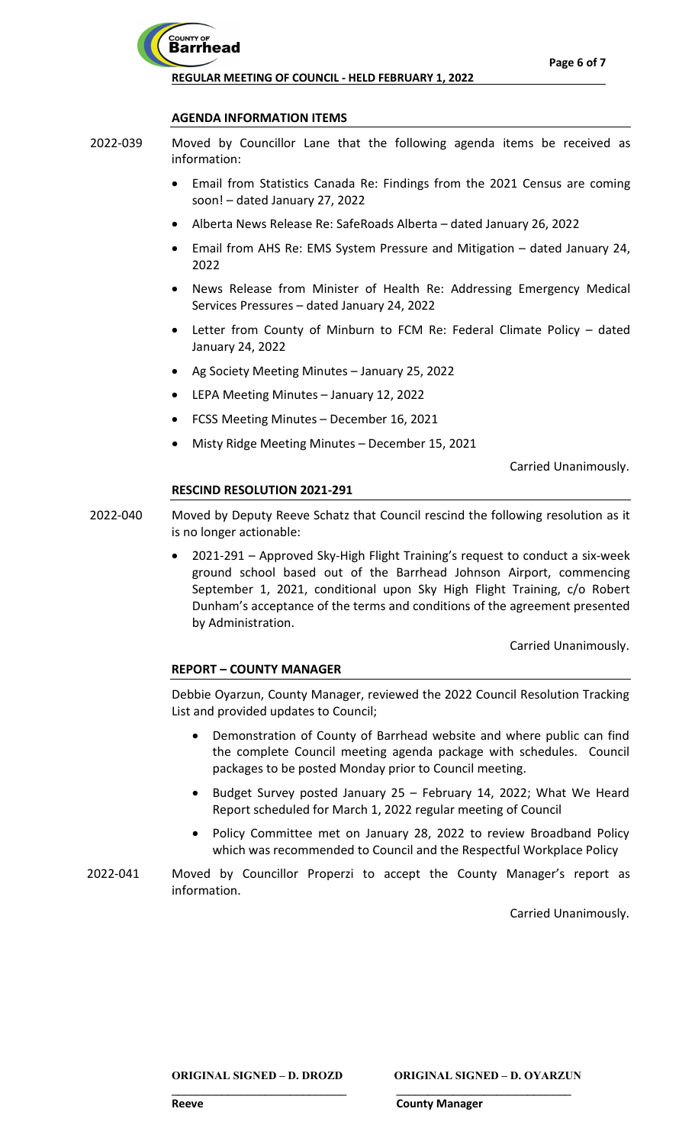

### **AGENDA INFORMATION ITEMS**

- Moved by Councillor Lane that the following agenda items be received as information: 2022-039
	- Email from Statistics Canada Re: Findings from the 2021 Census are coming soon! – dated January 27, 2022
	- Alberta News Release Re: SafeRoads Alberta dated January 26, 2022
	- Email from AHS Re: EMS System Pressure and Mitigation dated January 24, 2022
	- News Release from Minister of Health Re: Addressing Emergency Medical Services Pressures – dated January 24, 2022
	- Letter from County of Minburn to FCM Re: Federal Climate Policy dated January 24, 2022
	- Ag Society Meeting Minutes January 25, 2022
	- LEPA Meeting Minutes January 12, 2022
	- FCSS Meeting Minutes December 16, 2021
	- Misty Ridge Meeting Minutes December 15, 2021

Carried Unanimously.

#### **RESCIND RESOLUTION 2021-291**

- Moved by Deputy Reeve Schatz that Council rescind the following resolution as it is no longer actionable: 2022-040
	- 2021-291 Approved Sky-High Flight Training's request to conduct a six-week ground school based out of the Barrhead Johnson Airport, commencing September 1, 2021, conditional upon Sky High Flight Training, c/o Robert Dunham's acceptance of the terms and conditions of the agreement presented by Administration.

Carried Unanimously.

## **REPORT – COUNTY MANAGER**

Debbie Oyarzun, County Manager, reviewed the 2022 Council Resolution Tracking List and provided updates to Council;

- Demonstration of County of Barrhead website and where public can find the complete Council meeting agenda package with schedules. Council packages to be posted Monday prior to Council meeting.
- Budget Survey posted January 25 February 14, 2022; What We Heard Report scheduled for March 1, 2022 regular meeting of Council
- Policy Committee met on January 28, 2022 to review Broadband Policy which was recommended to Council and the Respectful Workplace Policy
- Moved by Councillor Properzi to accept the County Manager's report as information. 2022-041

**\_\_\_\_\_\_\_\_\_\_\_\_\_\_\_\_\_\_\_\_\_\_\_\_\_\_\_\_ \_\_\_\_\_\_\_\_\_\_\_\_\_\_\_\_\_\_\_\_\_\_\_\_\_\_\_\_**

Carried Unanimously.